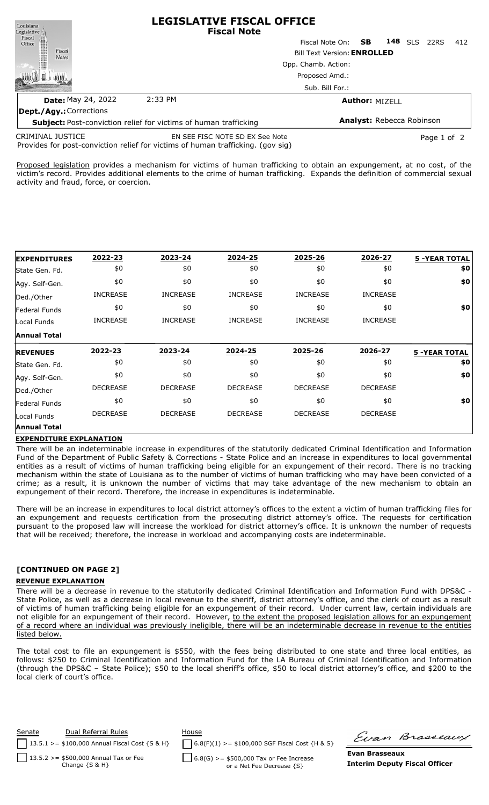| Louisiana<br>Legislative <sup>1</sup>      | LLGISLATIVL FISLAL UFFILL<br><b>Fiscal Note</b>                         |                                    |     |                           |                |             |     |
|--------------------------------------------|-------------------------------------------------------------------------|------------------------------------|-----|---------------------------|----------------|-------------|-----|
| Fiscal                                     |                                                                         | Fiscal Note On:                    | SB. |                           | <b>148</b> SLS | 22RS        | 412 |
| Fiscal<br>Office<br>Fiscal<br><b>Notes</b> |                                                                         | <b>Bill Text Version: ENROLLED</b> |     |                           |                |             |     |
|                                            |                                                                         | Opp. Chamb. Action:                |     |                           |                |             |     |
|                                            |                                                                         | Proposed Amd.:                     |     |                           |                |             |     |
|                                            |                                                                         | Sub. Bill For.:                    |     |                           |                |             |     |
| <b>Date: May 24, 2022</b>                  | 2:33 PM                                                                 |                                    |     | <b>Author: MIZELL</b>     |                |             |     |
| Dept./Agy.: Corrections                    |                                                                         |                                    |     |                           |                |             |     |
|                                            | <b>Subject:</b> Post-conviction relief for victims of human trafficking |                                    |     | Analyst: Rebecca Robinson |                |             |     |
| <b>CRIMINAL JUSTICE</b>                    | EN SEE FISC NOTE SD EX See Note<br>                                     |                                    |     |                           |                | Page 1 of 2 |     |

**LEGISLATIVE FISCAL OFFICE**

Provides for post-conviction relief for victims of human trafficking. (gov sig)

Proposed legislation provides a mechanism for victims of human trafficking to obtain an expungement, at no cost, of the victim's record. Provides additional elements to the crime of human trafficking. Expands the definition of commercial sexual activity and fraud, force, or coercion.

| <b>EXPENDITURES</b>           | 2022-23         | 2023-24         | 2024-25         | 2025-26         | 2026-27         | <b>5 -YEAR TOTAL</b> |
|-------------------------------|-----------------|-----------------|-----------------|-----------------|-----------------|----------------------|
| State Gen. Fd.                | \$0             | \$0             | \$0             | \$0             | \$0             | \$0                  |
| Agy. Self-Gen.                | \$0             | \$0             | \$0             | \$0             | \$0             | \$0                  |
| Ded./Other                    | <b>INCREASE</b> | <b>INCREASE</b> | <b>INCREASE</b> | <b>INCREASE</b> | <b>INCREASE</b> |                      |
| Federal Funds                 | \$0             | \$0             | \$0             | \$0             | \$0             | \$0                  |
| Local Funds                   | <b>INCREASE</b> | <b>INCREASE</b> | <b>INCREASE</b> | <b>INCREASE</b> | <b>INCREASE</b> |                      |
| <b>Annual Total</b>           |                 |                 |                 |                 |                 |                      |
|                               |                 |                 |                 |                 |                 |                      |
| <b>REVENUES</b>               | 2022-23         | 2023-24         | 2024-25         | 2025-26         | 2026-27         | <b>5 -YEAR TOTAL</b> |
| State Gen. Fd.                | \$0             | \$0             | \$0             | \$0             | \$0             | \$0                  |
|                               | \$0             | \$0             | \$0             | \$0             | \$0             | \$0                  |
| Ded./Other                    | <b>DECREASE</b> | <b>DECREASE</b> | <b>DECREASE</b> | <b>DECREASE</b> | <b>DECREASE</b> |                      |
| Federal Funds                 | \$0             | \$0             | \$0             | \$0             | \$0             | \$0                  |
| Agy. Self-Gen.<br>Local Funds | <b>DECREASE</b> | <b>DECREASE</b> | <b>DECREASE</b> | <b>DECREASE</b> | <b>DECREASE</b> |                      |

## **EXPENDITURE EXPLANATION**

There will be an indeterminable increase in expenditures of the statutorily dedicated Criminal Identification and Information Fund of the Department of Public Safety & Corrections - State Police and an increase in expenditures to local governmental entities as a result of victims of human trafficking being eligible for an expungement of their record. There is no tracking mechanism within the state of Louisiana as to the number of victims of human trafficking who may have been convicted of a crime; as a result, it is unknown the number of victims that may take advantage of the new mechanism to obtain an expungement of their record. Therefore, the increase in expenditures is indeterminable.

There will be an increase in expenditures to local district attorney's offices to the extent a victim of human trafficking files for an expungement and requests certification from the prosecuting district attorney's office. The requests for certification pursuant to the proposed law will increase the workload for district attorney's office. It is unknown the number of requests that will be received; therefore, the increase in workload and accompanying costs are indeterminable.

## **[CONTINUED ON PAGE 2]**

## **REVENUE EXPLANATION**

There will be a decrease in revenue to the statutorily dedicated Criminal Identification and Information Fund with DPS&C - State Police, as well as a decrease in local revenue to the sheriff, district attorney's office, and the clerk of court as a result of victims of human trafficking being eligible for an expungement of their record. Under current law, certain individuals are not eligible for an expungement of their record. However, to the extent the proposed legislation allows for an expungement of a record where an individual was previously ineligible, there will be an indeterminable decrease in revenue to the entities listed below.

The total cost to file an expungement is \$550, with the fees being distributed to one state and three local entities, as follows: \$250 to Criminal Identification and Information Fund for the LA Bureau of Criminal Identification and Information (through the DPS&C – State Police); \$50 to the local sheriff's office, \$50 to local district attorney's office, and \$200 to the local clerk of court's office.